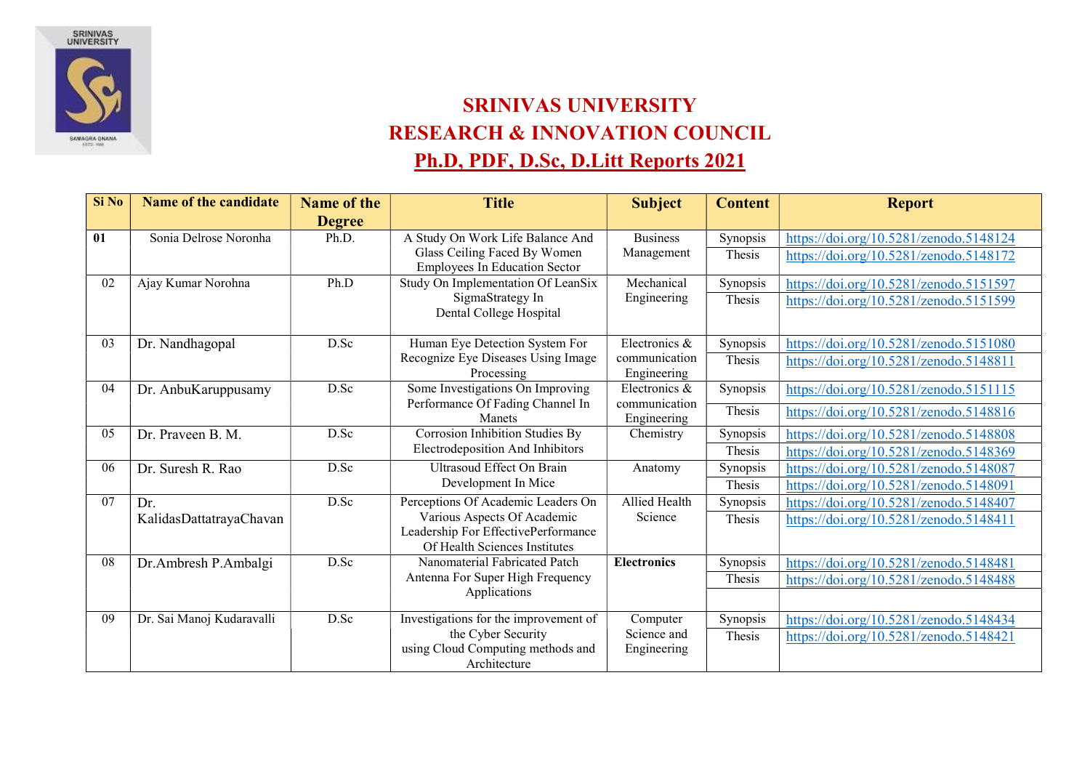

## SRINIVAS UNIVERSITY RESEARCH & INNOVATION COUNCIL Ph.D, PDF, D.Sc, D.Litt Reports 2021

| Si No | <b>Name of the candidate</b> | <b>Name of the</b> | <b>Title</b>                                                   | <b>Subject</b>               | <b>Content</b> | <b>Report</b>                          |
|-------|------------------------------|--------------------|----------------------------------------------------------------|------------------------------|----------------|----------------------------------------|
|       |                              | <b>Degree</b>      |                                                                |                              |                |                                        |
| 01    | Sonia Delrose Noronha        | Ph.D.              | A Study On Work Life Balance And                               | <b>Business</b>              | Synopsis       | https://doi.org/10.5281/zenodo.5148124 |
|       |                              |                    | Glass Ceiling Faced By Women                                   | Management                   | Thesis         | https://doi.org/10.5281/zenodo.5148172 |
|       |                              |                    | <b>Employees In Education Sector</b>                           |                              |                |                                        |
| 02    | Ajay Kumar Norohna           | Ph.D               | Study On Implementation Of LeanSix                             | Mechanical                   | Synopsis       | https://doi.org/10.5281/zenodo.5151597 |
|       |                              |                    | SigmaStrategy In<br>Dental College Hospital                    | Engineering                  | Thesis         | https://doi.org/10.5281/zenodo.5151599 |
| 03    | Dr. Nandhagopal              | D.Sc               | Human Eye Detection System For                                 | Electronics &                | Synopsis       | https://doi.org/10.5281/zenodo.5151080 |
|       |                              |                    | Recognize Eye Diseases Using Image                             | communication                | Thesis         | https://doi.org/10.5281/zenodo.5148811 |
|       |                              |                    | Processing                                                     | Engineering                  |                |                                        |
| 04    | Dr. AnbuKaruppusamy          | D.Sc               | Some Investigations On Improving                               | Electronics &                | Synopsis       | https://doi.org/10.5281/zenodo.5151115 |
|       |                              |                    | Performance Of Fading Channel In<br>Manets                     | communication<br>Engineering | Thesis         | https://doi.org/10.5281/zenodo.5148816 |
| 05    | Dr. Praveen B. M.            | D.Sc               | Corrosion Inhibition Studies By                                | Chemistry                    | Synopsis       | https://doi.org/10.5281/zenodo.5148808 |
|       |                              |                    | Electrodeposition And Inhibitors                               |                              | Thesis         | https://doi.org/10.5281/zenodo.5148369 |
| 06    | Dr. Suresh R. Rao            | D.Sc               | Ultrasoud Effect On Brain                                      | Anatomy                      | Synopsis       | https://doi.org/10.5281/zenodo.5148087 |
|       |                              |                    | Development In Mice                                            |                              | Thesis         | https://doi.org/10.5281/zenodo.5148091 |
| 07    | Dr.                          | D.Sc               | Perceptions Of Academic Leaders On                             | Allied Health                | Synopsis       | https://doi.org/10.5281/zenodo.5148407 |
|       | KalidasDattatrayaChavan      |                    | Various Aspects Of Academic                                    | Science                      | Thesis         | https://doi.org/10.5281/zenodo.5148411 |
|       |                              |                    | Leadership For EffectivePerformance                            |                              |                |                                        |
| 08    |                              | D.Sc               | Of Health Sciences Institutes<br>Nanomaterial Fabricated Patch |                              |                |                                        |
|       | Dr.Ambresh P.Ambalgi         |                    | Antenna For Super High Frequency                               | <b>Electronics</b>           | Synopsis       | https://doi.org/10.5281/zenodo.5148481 |
|       |                              |                    | Applications                                                   |                              | Thesis         | https://doi.org/10.5281/zenodo.5148488 |
|       |                              |                    |                                                                |                              |                |                                        |
| 09    | Dr. Sai Manoj Kudaravalli    | D.Sc               | Investigations for the improvement of                          | Computer                     | Synopsis       | https://doi.org/10.5281/zenodo.5148434 |
|       |                              |                    | the Cyber Security                                             | Science and                  | Thesis         | https://doi.org/10.5281/zenodo.5148421 |
|       |                              |                    | using Cloud Computing methods and<br>Architecture              | Engineering                  |                |                                        |